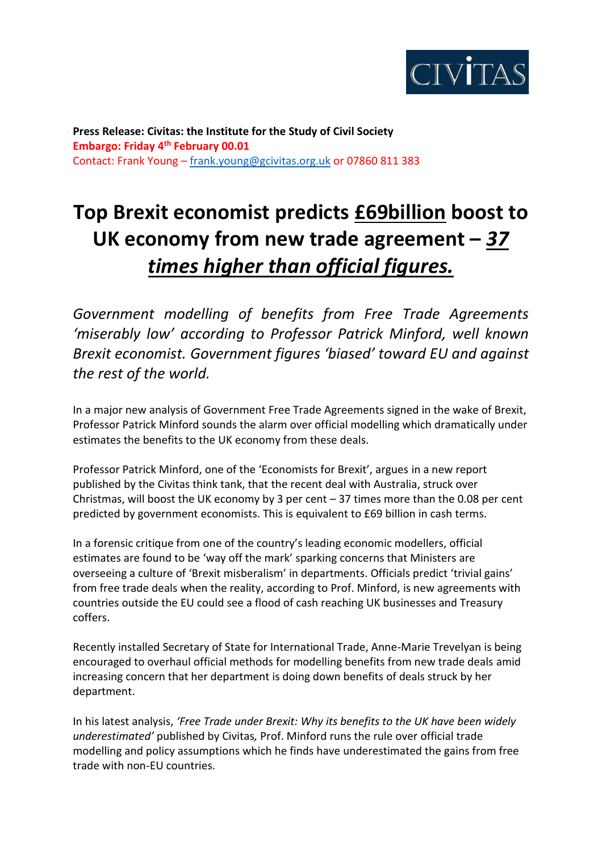

**Press Release: Civitas: the Institute for the Study of Civil Society Embargo: Friday 4th February 00.01** Contact: Frank Young – [frank.young@gcivitas.org.uk](mailto:frank.young@gcivitas.org.uk) or 07860 811 383

## **Top Brexit economist predicts £69billion boost to UK economy from new trade agreement –** *37 times higher than official figures.*

*Government modelling of benefits from Free Trade Agreements 'miserably low' according to Professor Patrick Minford, well known Brexit economist. Government figures 'biased' toward EU and against the rest of the world.*

In a major new analysis of Government Free Trade Agreements signed in the wake of Brexit, Professor Patrick Minford sounds the alarm over official modelling which dramatically under estimates the benefits to the UK economy from these deals.

Professor Patrick Minford, one of the 'Economists for Brexit', argues in a new report published by the Civitas think tank, that the recent deal with Australia, struck over Christmas, will boost the UK economy by 3 per cent  $-37$  times more than the 0.08 per cent predicted by government economists. This is equivalent to £69 billion in cash terms.

In a forensic critique from one of the country's leading economic modellers, official estimates are found to be 'way off the mark' sparking concerns that Ministers are overseeing a culture of 'Brexit misberalism' in departments. Officials predict 'trivial gains' from free trade deals when the reality, according to Prof. Minford, is new agreements with countries outside the EU could see a flood of cash reaching UK businesses and Treasury coffers.

Recently installed Secretary of State for International Trade, Anne-Marie Trevelyan is being encouraged to overhaul official methods for modelling benefits from new trade deals amid increasing concern that her department is doing down benefits of deals struck by her department.

In his latest analysis, *'Free Trade under Brexit: Why its benefits to the UK have been widely underestimated'* published by Civitas*,* Prof. Minford runs the rule over official trade modelling and policy assumptions which he finds have underestimated the gains from free trade with non-EU countries.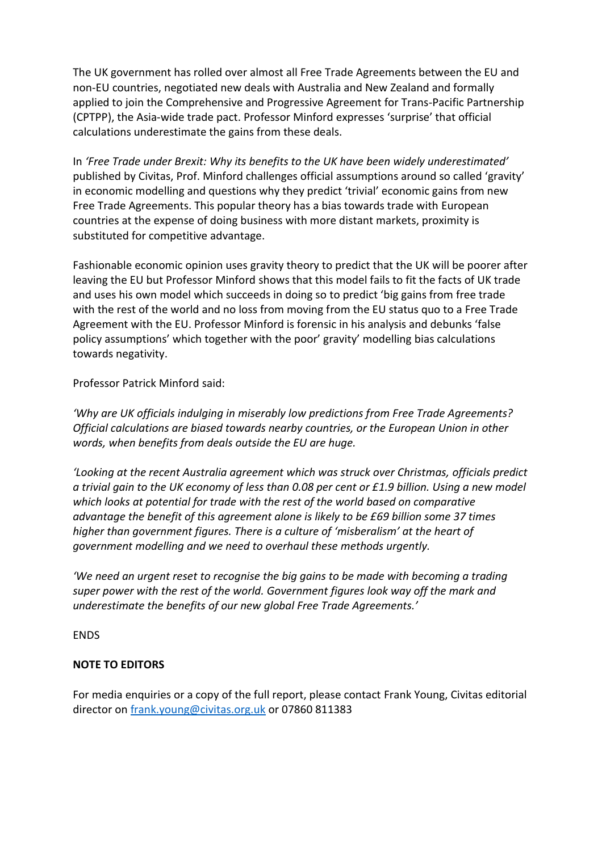The UK government has rolled over almost all Free Trade Agreements between the EU and non-EU countries, negotiated new deals with Australia and New Zealand and formally applied to join the Comprehensive and Progressive Agreement for Trans-Pacific Partnership (CPTPP), the Asia-wide trade pact. Professor Minford expresses 'surprise' that official calculations underestimate the gains from these deals.

In *'Free Trade under Brexit: Why its benefits to the UK have been widely underestimated'* published by Civitas, Prof. Minford challenges official assumptions around so called 'gravity' in economic modelling and questions why they predict 'trivial' economic gains from new Free Trade Agreements. This popular theory has a bias towards trade with European countries at the expense of doing business with more distant markets, proximity is substituted for competitive advantage.

Fashionable economic opinion uses gravity theory to predict that the UK will be poorer after leaving the EU but Professor Minford shows that this model fails to fit the facts of UK trade and uses his own model which succeeds in doing so to predict 'big gains from free trade with the rest of the world and no loss from moving from the EU status quo to a Free Trade Agreement with the EU. Professor Minford is forensic in his analysis and debunks 'false policy assumptions' which together with the poor' gravity' modelling bias calculations towards negativity.

Professor Patrick Minford said:

*'Why are UK officials indulging in miserably low predictions from Free Trade Agreements? Official calculations are biased towards nearby countries, or the European Union in other words, when benefits from deals outside the EU are huge.* 

*'Looking at the recent Australia agreement which was struck over Christmas, officials predict a trivial gain to the UK economy of less than 0.08 per cent or £1.9 billion. Using a new model which looks at potential for trade with the rest of the world based on comparative advantage the benefit of this agreement alone is likely to be £69 billion some 37 times higher than government figures. There is a culture of 'misberalism' at the heart of government modelling and we need to overhaul these methods urgently.*

*'We need an urgent reset to recognise the big gains to be made with becoming a trading super power with the rest of the world. Government figures look way off the mark and underestimate the benefits of our new global Free Trade Agreements.'*

ENDS

## **NOTE TO EDITORS**

For media enquiries or a copy of the full report, please contact Frank Young, Civitas editorial director on **frank.young@civitas.org.uk** or 07860 811383